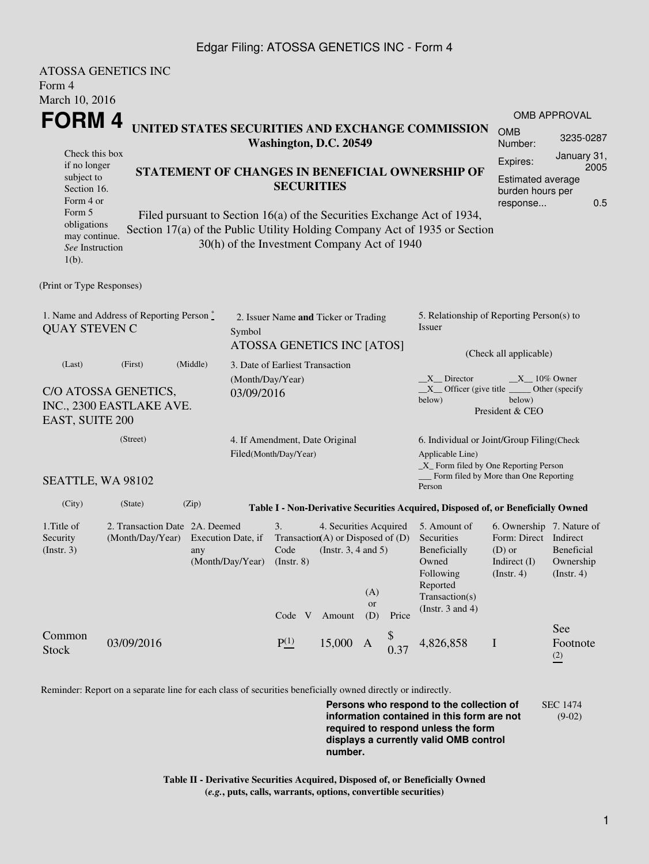## Edgar Filing: ATOSSA GENETICS INC - Form 4

|                                                                                                                                                                                                | <b>ATOSSA GENETICS INC</b>                                                                                  |                                             |                                 |                                                                                                               |                                                     |                                                                                                               |                                                                                                                         |                                                                                                |                                                    |  |
|------------------------------------------------------------------------------------------------------------------------------------------------------------------------------------------------|-------------------------------------------------------------------------------------------------------------|---------------------------------------------|---------------------------------|---------------------------------------------------------------------------------------------------------------|-----------------------------------------------------|---------------------------------------------------------------------------------------------------------------|-------------------------------------------------------------------------------------------------------------------------|------------------------------------------------------------------------------------------------|----------------------------------------------------|--|
| Form 4                                                                                                                                                                                         |                                                                                                             |                                             |                                 |                                                                                                               |                                                     |                                                                                                               |                                                                                                                         |                                                                                                |                                                    |  |
| March 10, 2016                                                                                                                                                                                 |                                                                                                             |                                             |                                 |                                                                                                               |                                                     |                                                                                                               |                                                                                                                         |                                                                                                |                                                    |  |
| FORM 4                                                                                                                                                                                         |                                                                                                             |                                             |                                 |                                                                                                               |                                                     |                                                                                                               |                                                                                                                         |                                                                                                | <b>OMB APPROVAL</b>                                |  |
| UNITED STATES SECURITIES AND EXCHANGE COMMISSION<br>Washington, D.C. 20549<br>Check this box                                                                                                   |                                                                                                             |                                             |                                 |                                                                                                               |                                                     |                                                                                                               | <b>OMB</b><br>Number:                                                                                                   | 3235-0287<br>January 31,                                                                       |                                                    |  |
| if no longer<br>STATEMENT OF CHANGES IN BENEFICIAL OWNERSHIP OF<br>subject to<br>Section 16.<br>Form 4 or<br>Form 5<br>Filed pursuant to Section 16(a) of the Securities Exchange Act of 1934, |                                                                                                             |                                             |                                 | <b>SECURITIES</b>                                                                                             |                                                     |                                                                                                               |                                                                                                                         | Expires:<br>Estimated average<br>burden hours per<br>response                                  | 2005<br>0.5                                        |  |
| obligations<br>may continue.<br>See Instruction<br>$1(b)$ .                                                                                                                                    |                                                                                                             | 30(h) of the Investment Company Act of 1940 |                                 |                                                                                                               |                                                     |                                                                                                               | Section 17(a) of the Public Utility Holding Company Act of 1935 or Section                                              |                                                                                                |                                                    |  |
| (Print or Type Responses)                                                                                                                                                                      |                                                                                                             |                                             |                                 |                                                                                                               |                                                     |                                                                                                               |                                                                                                                         |                                                                                                |                                                    |  |
| 1. Name and Address of Reporting Person *<br><b>QUAY STEVEN C</b>                                                                                                                              | 2. Issuer Name and Ticker or Trading<br>Symbol<br>ATOSSA GENETICS INC [ATOS]                                |                                             |                                 |                                                                                                               | 5. Relationship of Reporting Person(s) to<br>Issuer |                                                                                                               |                                                                                                                         |                                                                                                |                                                    |  |
| (Last)                                                                                                                                                                                         | (First)                                                                                                     | (Middle)                                    | 3. Date of Earliest Transaction |                                                                                                               |                                                     |                                                                                                               |                                                                                                                         | (Check all applicable)                                                                         |                                                    |  |
| EAST, SUITE 200                                                                                                                                                                                | C/O ATOSSA GENETICS,<br>INC., 2300 EASTLAKE AVE.                                                            | 03/09/2016                                  | (Month/Day/Year)                |                                                                                                               |                                                     |                                                                                                               | $X$ Director<br>$X$ Officer (give title $\_\_\_\$ Other (specify<br>below)                                              | $X$ <sub>10%</sub> Owner<br>below)<br>President & CEO                                          |                                                    |  |
| (Street)                                                                                                                                                                                       |                                                                                                             |                                             |                                 | 4. If Amendment, Date Original                                                                                |                                                     |                                                                                                               | 6. Individual or Joint/Group Filing(Check                                                                               |                                                                                                |                                                    |  |
| SEATTLE, WA 98102                                                                                                                                                                              |                                                                                                             | Filed(Month/Day/Year)                       |                                 |                                                                                                               |                                                     | Applicable Line)<br>_X_ Form filed by One Reporting Person<br>Form filed by More than One Reporting<br>Person |                                                                                                                         |                                                                                                |                                                    |  |
| (City)                                                                                                                                                                                         | (State)                                                                                                     | (Zip)                                       |                                 |                                                                                                               |                                                     |                                                                                                               | Table I - Non-Derivative Securities Acquired, Disposed of, or Beneficially Owned                                        |                                                                                                |                                                    |  |
| 1. Title of<br>Security<br>(Insert. 3)                                                                                                                                                         | 2. Transaction Date 2A. Deemed<br>(Month/Day/Year) Execution Date, if<br>any<br>(Month/Day/Year) (Instr. 8) |                                             | 3.<br>Code                      | 4. Securities Acquired<br>Transaction(A) or Disposed of $(D)$<br>(Instr. $3, 4$ and $5$ )<br>(A)<br><b>or</b> |                                                     |                                                                                                               | 5. Amount of<br>Securities<br>Beneficially<br>Owned<br>Following<br>Reported<br>Transaction(s)<br>(Instr. $3$ and $4$ ) | 6. Ownership 7. Nature of<br>Form: Direct Indirect<br>$(D)$ or<br>Indirect $(I)$<br>(Instr. 4) | <b>Beneficial</b><br>Ownership<br>$($ Instr. 4 $)$ |  |
| Common<br><b>Stock</b>                                                                                                                                                                         | 03/09/2016                                                                                                  |                                             | P(1)                            | Code V Amount<br>15,000                                                                                       | (D)<br>A                                            | Price<br>0.37                                                                                                 | 4,826,858                                                                                                               | $\mathbf I$                                                                                    | See<br>Footnote<br>(2)                             |  |

Reminder: Report on a separate line for each class of securities beneficially owned directly or indirectly.

**Persons who respond to the collection of information contained in this form are not required to respond unless the form displays a currently valid OMB control number.** SEC 1474 (9-02)

**Table II - Derivative Securities Acquired, Disposed of, or Beneficially Owned (***e.g.***, puts, calls, warrants, options, convertible securities)**